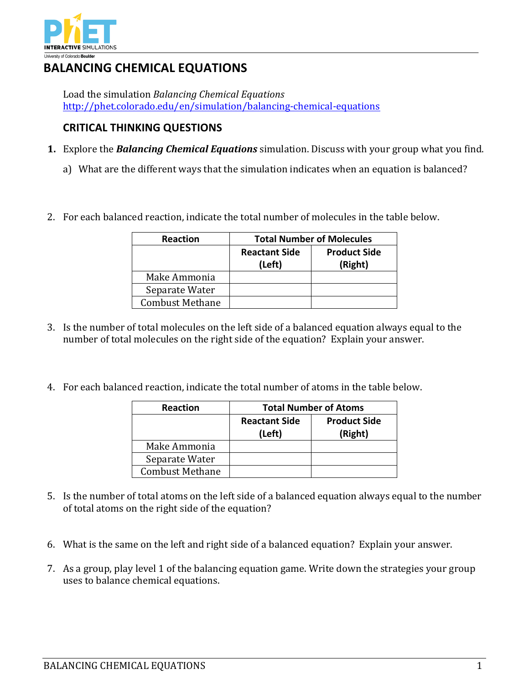

## **BALANCING CHEMICAL EQUATIONS**

Load the simulation *Balancing Chemical Equations* http://phet.colorado.edu/en/simulation/balancing-chemical-equations

## **CRITICAL THINKING QUESTIONS**

- **1.** Explore the **Balancing Chemical Equations** simulation. Discuss with your group what you find.
	- a) What are the different ways that the simulation indicates when an equation is balanced?
- 2. For each balanced reaction, indicate the total number of molecules in the table below.

| <b>Reaction</b>        | <b>Total Number of Molecules</b> |                     |
|------------------------|----------------------------------|---------------------|
|                        | <b>Reactant Side</b>             | <b>Product Side</b> |
|                        | (Left)                           | (Right)             |
| Make Ammonia           |                                  |                     |
| Separate Water         |                                  |                     |
| <b>Combust Methane</b> |                                  |                     |

- 3. Is the number of total molecules on the left side of a balanced equation always equal to the number of total molecules on the right side of the equation? Explain your answer.
- 4. For each balanced reaction, indicate the total number of atoms in the table below.

| <b>Reaction</b>        | <b>Total Number of Atoms</b>   |                                |
|------------------------|--------------------------------|--------------------------------|
|                        | <b>Reactant Side</b><br>(Left) | <b>Product Side</b><br>(Right) |
| Make Ammonia           |                                |                                |
| Separate Water         |                                |                                |
| <b>Combust Methane</b> |                                |                                |

- 5. Is the number of total atoms on the left side of a balanced equation always equal to the number of total atoms on the right side of the equation?
- 6. What is the same on the left and right side of a balanced equation? Explain your answer.
- 7. As a group, play level 1 of the balancing equation game. Write down the strategies your group uses to balance chemical equations.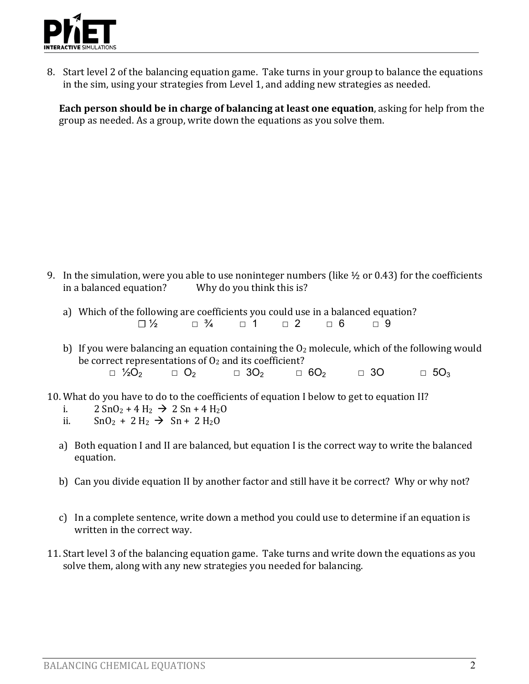

8. Start level 2 of the balancing equation game. Take turns in your group to balance the equations in the sim, using your strategies from Level 1, and adding new strategies as needed.

**Each person should be in charge of balancing at least one equation, asking for help from the** group as needed. As a group, write down the equations as you solve them.

- 9. In the simulation, were you able to use noninteger numbers (like  $\frac{1}{2}$  or 0.43) for the coefficients in a balanced equation? Why do you think this is?
	- a) Which of the following are coefficients you could use in a balanced equation? **☐** ½ ☐ ¾ ☐ 1 ☐ 2 ☐ 6 ☐ 9
	- b) If you were balancing an equation containing the  $O_2$  molecule, which of the following would be correct representations of  $O<sub>2</sub>$  and its coefficient?  $\Box$  ½O<sub>2</sub>  $\Box$  3O<sub>2</sub>  $\Box$  6O<sub>2</sub>  $\Box$  3O  $\Box$  5O<sub>3</sub>
- 10. What do you have to do to the coefficients of equation I below to get to equation II?
	- i.  $2 \text{ SnO}_2 + 4 \text{ H}_2 \rightarrow 2 \text{ Sn} + 4 \text{ H}_2\text{O}$
	- ii.  $SnO_2 + 2H_2 \rightarrow Sn + 2H_2O$
	- a) Both equation I and II are balanced, but equation I is the correct way to write the balanced equation.
	- b) Can you divide equation II by another factor and still have it be correct? Why or why not?
	- c) In a complete sentence, write down a method you could use to determine if an equation is written in the correct way.
- 11. Start level 3 of the balancing equation game. Take turns and write down the equations as you solve them, along with any new strategies you needed for balancing.